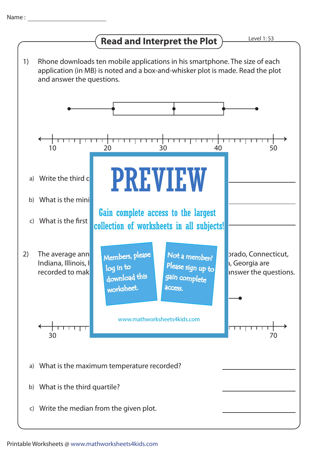